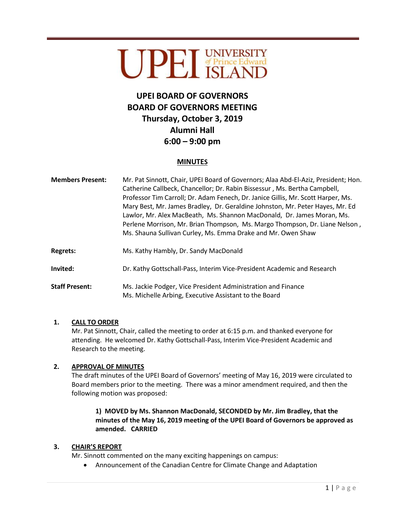# UPEI UNIVERSITY

# **UPEI BOARD OF GOVERNORS BOARD OF GOVERNORS MEETING Thursday, October 3, 2019 Alumni Hall 6:00 – 9:00 pm**

## **MINUTES**

| <b>Members Present:</b> | Mr. Pat Sinnott, Chair, UPEI Board of Governors; Alaa Abd-El-Aziz, President; Hon.<br>Catherine Callbeck, Chancellor; Dr. Rabin Bissessur, Ms. Bertha Campbell,<br>Professor Tim Carroll; Dr. Adam Fenech, Dr. Janice Gillis, Mr. Scott Harper, Ms.<br>Mary Best, Mr. James Bradley, Dr. Geraldine Johnston, Mr. Peter Hayes, Mr. Ed<br>Lawlor, Mr. Alex MacBeath, Ms. Shannon MacDonald, Dr. James Moran, Ms.<br>Perlene Morrison, Mr. Brian Thompson, Ms. Margo Thompson, Dr. Liane Nelson,<br>Ms. Shauna Sullivan Curley, Ms. Emma Drake and Mr. Owen Shaw |
|-------------------------|---------------------------------------------------------------------------------------------------------------------------------------------------------------------------------------------------------------------------------------------------------------------------------------------------------------------------------------------------------------------------------------------------------------------------------------------------------------------------------------------------------------------------------------------------------------|
| <b>Regrets:</b>         | Ms. Kathy Hambly, Dr. Sandy MacDonald                                                                                                                                                                                                                                                                                                                                                                                                                                                                                                                         |
| Invited:                | Dr. Kathy Gottschall-Pass, Interim Vice-President Academic and Research                                                                                                                                                                                                                                                                                                                                                                                                                                                                                       |
| <b>Staff Present:</b>   | Ms. Jackie Podger, Vice President Administration and Finance<br>Ms. Michelle Arbing, Executive Assistant to the Board                                                                                                                                                                                                                                                                                                                                                                                                                                         |

#### **1. CALL TO ORDER**

Mr. Pat Sinnott, Chair, called the meeting to order at 6:15 p.m. and thanked everyone for attending. He welcomed Dr. Kathy Gottschall-Pass, Interim Vice-President Academic and Research to the meeting.

#### **2. APPROVAL OF MINUTES**

The draft minutes of the UPEI Board of Governors' meeting of May 16, 2019 were circulated to Board members prior to the meeting. There was a minor amendment required, and then the following motion was proposed:

# **1) MOVED by Ms. Shannon MacDonald, SECONDED by Mr. Jim Bradley, that the minutes of the May 16, 2019 meeting of the UPEI Board of Governors be approved as amended. CARRIED**

#### **3. CHAIR'S REPORT**

Mr. Sinnott commented on the many exciting happenings on campus:

Announcement of the Canadian Centre for Climate Change and Adaptation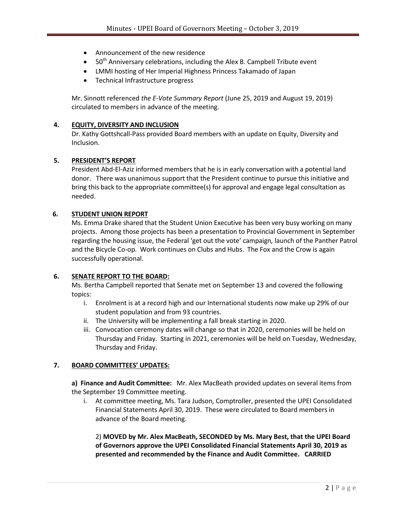- Announcement of the new residence
- $\bullet$  50<sup>th</sup> Anniversary celebrations, including the Alex B. Campbell Tribute event
- LMMI hosting of Her Imperial Highness Princess Takamado of Japan
- Technical Infrastructure progress

Mr. Sinnott referenced *the E-Vote Summary Report* (June 25, 2019 and August 19, 2019) circulated to members in advance of the meeting.

#### **4. EQUITY, DIVERSITY AND INCLUSION**

Dr. Kathy Gottshcall-Pass provided Board members with an update on Equity, Diversity and Inclusion.

#### **5. PRESIDENT'S REPORT**

President Abd-El-Aziz informed members that he is in early conversation with a potential land donor. There was unanimous support that the President continue to pursue this initiative and bring this back to the appropriate committee(s) for approval and engage legal consultation as needed.

#### **6. STUDENT UNION REPORT**

Ms. Emma Drake shared that the Student Union Executive has been very busy working on many projects. Among those projects has been a presentation to Provincial Government in September regarding the housing issue, the Federal 'get out the vote' campaign*,* launch of the Panther Patrol and the Bicycle Co-op. Work continues on Clubs and Hubs. The Fox and the Crow is again successfully operational.

#### **6. SENATE REPORT TO THE BOARD:**

Ms. Bertha Campbell reported that Senate met on September 13 and covered the following topics:

- i. Enrolment is at a record high and our International students now make up 29% of our student population and from 93 countries.
- ii. The University will be implementing a fall break starting in 2020.
- iii. Convocation ceremony dates will change so that in 2020, ceremonies will be held on Thursday and Friday. Starting in 2021, ceremonies will be held on Tuesday, Wednesday, Thursday and Friday.

#### **7. BOARD COMMITTEES' UPDATES:**

**a) Finance and Audit Committee:** Mr. Alex MacBeath provided updates on several items from the September 19 Committee meeting.

i. At committee meeting, Ms. Tara Judson, Comptroller, presented the UPEI Consolidated Financial Statements April 30, 2019. These were circulated to Board members in advance of the Board meeting.

2) **MOVED by Mr. Alex MacBeath, SECONDED by Ms. Mary Best, that the UPEI Board of Governors approve the UPEI Consolidated Financial Statements April 30, 2019 as presented and recommended by the Finance and Audit Committee. CARRIED**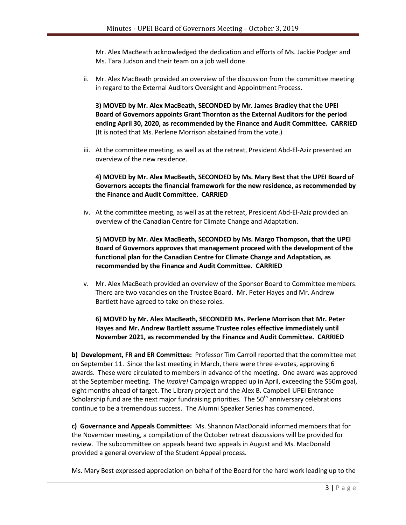Mr. Alex MacBeath acknowledged the dedication and efforts of Ms. Jackie Podger and Ms. Tara Judson and their team on a job well done.

ii. Mr. Alex MacBeath provided an overview of the discussion from the committee meeting in regard to the External Auditors Oversight and Appointment Process.

**3) MOVED by Mr. Alex MacBeath, SECONDED by Mr. James Bradley that the UPEI Board of Governors appoints Grant Thornton as the External Auditors for the period ending April 30, 2020, as recommended by the Finance and Audit Committee. CARRIED** (It is noted that Ms. Perlene Morrison abstained from the vote.)

iii. At the committee meeting, as well as at the retreat, President Abd-El-Aziz presented an overview of the new residence.

## **4) MOVED by Mr. Alex MacBeath, SECONDED by Ms. Mary Best that the UPEI Board of Governors accepts the financial framework for the new residence, as recommended by the Finance and Audit Committee. CARRIED**

iv. At the committee meeting, as well as at the retreat, President Abd-El-Aziz provided an overview of the Canadian Centre for Climate Change and Adaptation.

**5) MOVED by Mr. Alex MacBeath, SECONDED by Ms. Margo Thompson, that the UPEI Board of Governors approves that management proceed with the development of the functional plan for the Canadian Centre for Climate Change and Adaptation, as recommended by the Finance and Audit Committee. CARRIED**

v. Mr. Alex MacBeath provided an overview of the Sponsor Board to Committee members. There are two vacancies on the Trustee Board. Mr. Peter Hayes and Mr. Andrew Bartlett have agreed to take on these roles.

# **6) MOVED by Mr. Alex MacBeath, SECONDED Ms. Perlene Morrison that Mr. Peter Hayes and Mr. Andrew Bartlett assume Trustee roles effective immediately until November 2021, as recommended by the Finance and Audit Committee. CARRIED**

**b) Development, FR and ER Committee:** Professor Tim Carroll reported that the committee met on September 11. Since the last meeting in March, there were three e-votes, approving 6 awards. These were circulated to members in advance of the meeting. One award was approved at the September meeting. The *Inspire!* Campaign wrapped up in April, exceeding the \$50m goal, eight months ahead of target. The Library project and the Alex B. Campbell UPEI Entrance Scholarship fund are the next major fundraising priorities. The  $50<sup>th</sup>$  anniversary celebrations continue to be a tremendous success. The Alumni Speaker Series has commenced.

**c) Governance and Appeals Committee:** Ms. Shannon MacDonald informed members that for the November meeting, a compilation of the October retreat discussions will be provided for review. The subcommittee on appeals heard two appeals in August and Ms. MacDonald provided a general overview of the Student Appeal process.

Ms. Mary Best expressed appreciation on behalf of the Board for the hard work leading up to the